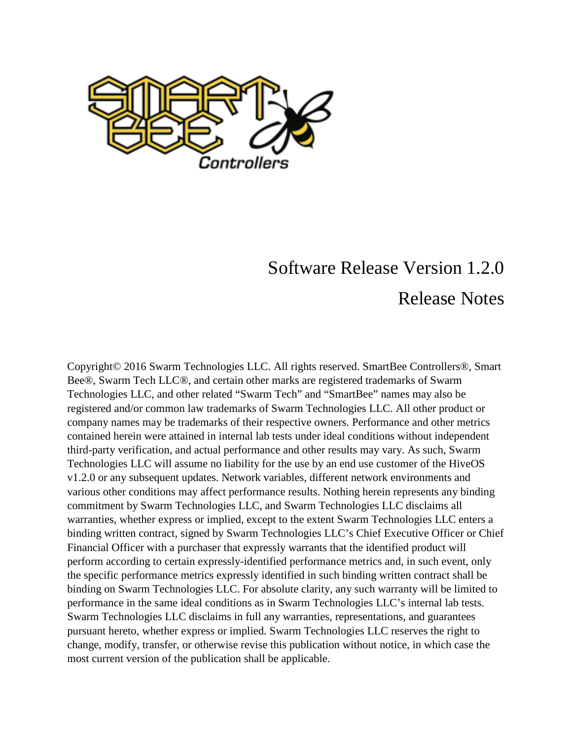

# Software Release Version 1.2.0 Release Notes

Copyright© 2016 Swarm Technologies LLC. All rights reserved. SmartBee Controllers®, Smart Bee®, Swarm Tech LLC®, and certain other marks are registered trademarks of Swarm Technologies LLC, and other related "Swarm Tech" and "SmartBee" names may also be registered and/or common law trademarks of Swarm Technologies LLC. All other product or company names may be trademarks of their respective owners. Performance and other metrics contained herein were attained in internal lab tests under ideal conditions without independent third-party verification, and actual performance and other results may vary. As such, Swarm Technologies LLC will assume no liability for the use by an end use customer of the HiveOS v1.2.0 or any subsequent updates. Network variables, different network environments and various other conditions may affect performance results. Nothing herein represents any binding commitment by Swarm Technologies LLC, and Swarm Technologies LLC disclaims all warranties, whether express or implied, except to the extent Swarm Technologies LLC enters a binding written contract, signed by Swarm Technologies LLC's Chief Executive Officer or Chief Financial Officer with a purchaser that expressly warrants that the identified product will perform according to certain expressly-identified performance metrics and, in such event, only the specific performance metrics expressly identified in such binding written contract shall be binding on Swarm Technologies LLC. For absolute clarity, any such warranty will be limited to performance in the same ideal conditions as in Swarm Technologies LLC's internal lab tests. Swarm Technologies LLC disclaims in full any warranties, representations, and guarantees pursuant hereto, whether express or implied. Swarm Technologies LLC reserves the right to change, modify, transfer, or otherwise revise this publication without notice, in which case the most current version of the publication shall be applicable.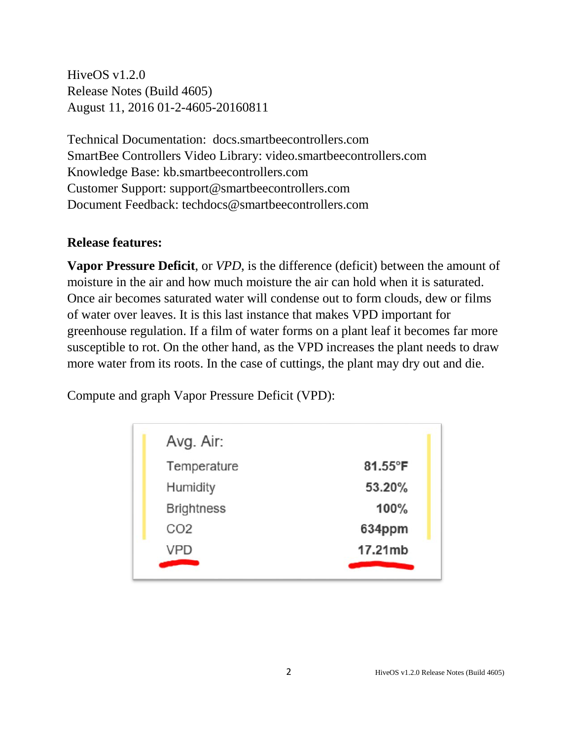HiveOS v1.2.0 Release Notes (Build 4605) August 11, 2016 01-2-4605-20160811

Technical Documentation: docs.smartbeecontrollers.com SmartBee Controllers Video Library: video.smartbeecontrollers.com Knowledge Base: kb.smartbeecontrollers.com Customer Support: support@smartbeecontrollers.com Document Feedback: techdocs@smartbeecontrollers.com

#### **Release features:**

**Vapor Pressure Deficit**, or *VPD*, is the difference (deficit) between the amount of moisture in the air and how much moisture the air can hold when it is saturated. Once air becomes saturated water will condense out to form clouds, dew or films of water over leaves. It is this last instance that makes VPD important for greenhouse regulation. If a film of water forms on a plant leaf it becomes far more susceptible to rot. On the other hand, as the VPD increases the plant needs to draw more water from its roots. In the case of cuttings, the plant may dry out and die.

Compute and graph Vapor Pressure Deficit (VPD):

| Avg. Air:         |                   |
|-------------------|-------------------|
| Temperature       | 81.55 $\degree$ F |
| Humidity          | 53.20%            |
| <b>Brightness</b> | 100%              |
| CO <sub>2</sub>   | 634ppm            |
| <b>VPD</b>        | 17.21mb           |
|                   |                   |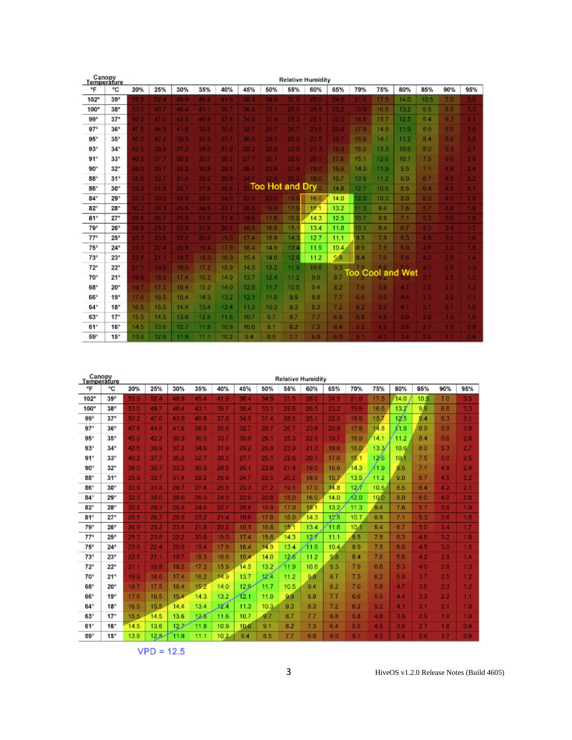| Canopy<br>Temperature |              |      |      |      |      |      |      |                    |                 | <b>Relative Humidity</b> |      |         |                 |      |                   |     |                  |
|-----------------------|--------------|------|------|------|------|------|------|--------------------|-----------------|--------------------------|------|---------|-----------------|------|-------------------|-----|------------------|
| ۰F                    | ٩C           | 20%  | 25%  | 30%  | 35%  | 40%  | 45%  | 50%                | 55%             | 60%                      | 65%  | 70%     | 75%             | 80%  | 85%               | 90% | 95%              |
| 102°                  | 39°          | 55.0 | 52.4 | 48.9 | 45.4 | 41.9 | 38.4 | 34.9               | 31.5            | 28.0                     | 24.5 |         | 17 <sub>5</sub> | 14.0 | 10.5 <sub>1</sub> | 7.0 | 3.5              |
| 100°                  | $38^\circ$   | 53.0 | 49.7 | 46.4 | 43.1 | 39.7 | 36.4 | 33.1               | 29.6            | 26.5                     | 23.2 | 19.9    | 16.6            | 13.2 | 9.9               | 6.6 | 3.3              |
| 99°                   | 37°          | 50.2 | 47.0 | 43.9 | 40.B | 37 C | 34.5 | 31.4               | 28.2            | 25.1                     | 22.0 | 18.8    | 15.7            | 12.5 | 9.4               | 6.3 | 3.1              |
| 97°                   | 36°          | 47.5 | 44.5 | 41.6 | 38.6 | 356  | 32.7 | 29.7               | 26.7            | 23.8                     | 20.8 | 17.8    | 14.8            | 11.9 | 8.9               | 5.9 | 3.0              |
| 95°                   | $35^\circ$   | 45.0 | 42.2 | 39.3 | 36.5 | 33.7 | 30.9 | 28.1               | 25.3            | 22.5                     | 19.7 | 16.9    | 14.1            | 11.2 | 8.4               | 5.6 | 2.8              |
| 93°                   | $34^\circ$   | 42.5 | 39.9 | 37.2 | 34.6 | 31.9 | 29.2 | 26.6               | 23.9            | 21.3                     | 18.6 | 16.0    | 13.3            | 10.6 | 8.0               | 5.3 | 2.7              |
| 91°                   | $33^\circ$   | 40.2 | 37.7 | 35.2 | 32.7 | 30.2 | 27.7 | 25.1               | 22.6            | 20.1                     | 17.6 | 15.1    | 12.6            | 10.1 | 7.5               | 5.0 | 2.5              |
| 90°                   | $32^{\circ}$ | 38.0 | 35.7 | 33.3 | 30.9 | 28.5 | 26.1 | 23.8               | 21.4            | 19.0                     | 16.6 | 14.3    | 11.9            | 9.5  | 7.1               | 4.8 | 2.4              |
| 88°                   | $31^\circ$   | 35.9 | 33.7 | 31.4 | 29.2 | 26.9 | 24.7 | 22.5               | 20.2            | 18.0                     | 15.7 | 13.5    | 11.2            | 9.0  | 6.7               | 4.5 | 2.2              |
| 86*                   | $30^\circ$   | 33.9 | 31.8 | 29.7 | 27.6 | 25.5 |      | <b>Too Hot and</b> |                 | D<br>ry -                | 14.8 | 12.7    | 10.6            | 8.5  | 6.4               | 4.2 | 2.1              |
| $84^\circ$            | 29°          | 32.0 | 30.0 | 28.0 | 26.D | 24.0 | 22.0 | 20.0               | 18.             | 16.0                     | 14.0 | 2.0     | 10.0            | 8.0  | 6.0               | 4.0 | 2.0              |
| 82°                   | $28^\circ$   | 30.2 | 28.3 | 26.5 | 24.6 | 22.7 | 20.8 | 18.9               | 17 <sub>5</sub> | 15.1                     | 13.2 | 1.3     | 9.4             | 7.6  | 57                | 38  | 1.9              |
| 81°                   | 27°          | 28.5 | 26.7 | 25.0 | 23.2 | 21.4 | 19.6 | 17.8               | 16.0            | 14.3                     | 12.5 | 0.7     | 8.9             | 7.1  | 53                | 36  | 1.8              |
| 79°                   | $26^\circ$   | 26.9 | 25.2 | 23.5 | 21.B | 20.2 | 18.5 | 16.8               | 15.             | 13.4                     | 11.8 | 0.1     | 8.4             | 6.7  | 50                | 34  | 1.7              |
| 77 <sup>o</sup>       | $25^\circ$   | 25.3 | 23.8 | 22.2 | 20.6 | 19.0 | 17.4 | 15.8               | 14.7            | 12.7                     | 11.1 | 9.5     | 7.9             | 6.3  | 48                | 32  | 1.6              |
| 75°                   | $24^\circ$   | 23.9 | 22.4 | 20.9 | 19.4 | 17.9 | 16.4 | 14.9               | 13.4            | 11.9                     | 10.4 | 8.9     | 7.5             | 6.0  | 4.5               | 3.0 | 1.5.             |
| 73°                   | $23^{\circ}$ | 22.5 | 21.1 | 19.7 | 18.3 | 16.9 | 15.4 | 14.0               | 12.6            | 11.2                     | 9.8  | 8.4     | 7.0             | 5.6  | 4.2               | 2.8 | 14               |
| $72^{\circ}$          | $22^{\circ}$ | 21.1 | 19.8 | 18.5 | 17.2 | 15.9 | 14.5 | 13.2               | 11.9            | 10.6                     | 9.3  |         | 6.6             |      | 40                | 2.6 | 1.3 <sub>1</sub> |
| 70 <sup>°</sup>       | $21^{\circ}$ | 19.9 | 18.6 | 17.4 | 16.2 | 14.9 | 13.7 | 12.4               | 11.2            | 9.9                      | 8.7  | С<br>ററ | ٥o<br><b>Ia</b> |      | 97                | 2.5 | 1.2              |
| 68°                   | $20^{\circ}$ | 18.7 | 17.5 | 16.4 | 15.2 | 14.0 | 12.9 | 11.7               | 10.5            | 9.4                      | 8.2  | 7.0     | 5.8             | 4.7  | 35                | 2.3 | 1.2              |
| 66°                   | $19^\circ$   | 17.6 | 16.5 | 15.4 | 14.3 | 13.2 | 12.1 | 11.0               | 9.9             | 8.8                      | 7.7  | 6.6     | 5.5             | 4.4  | 33                | 2.2 | 1.1              |
| 64°                   | $18^\circ$   | 16.5 | 15.5 | 14.4 | 13.4 | 12.4 | 11.3 | 10.3               | 9.3             | 8.3                      | 7.2  | 6.2     | 5.2             | 4.1  | 3.1               | 2.1 | 1.0              |
| 63*                   | 17°          | 15.5 | 14.5 | 13.6 | 12.6 | 11.6 | 10.7 | 9.7                | 8.7             | 7.7                      | 6.8  | 5.8     | 4.8             | 3.9  | 29                | 1.9 | 1.0              |
| 61*                   | $16^\circ$   | 14.5 | 13.6 | 12.7 | 11.8 | 10.9 | 10.0 | 9.1                | 8.2             | 7.3                      | 6.4  | 5.5     | 4.5             | 3.6  | 27                | 1.8 | 0.9              |
| 59°                   | $15^\circ$   | 13.6 | 12.8 | 11.9 | 11.1 | 10.2 | 9.4  | 8.5                | 7.7             | 5.8                      | 6.0  | 51      | 4.3             | 34   | 26                | 7   | D.B.             |

| Canopy<br>Temperature |              |      |          |      |      |      |      |      | <b>Relative Humidity</b> |                 |      |      |      |      |      |                  |     |
|-----------------------|--------------|------|----------|------|------|------|------|------|--------------------------|-----------------|------|------|------|------|------|------------------|-----|
| °F                    | ٩C           | 20%  | 25%      | 30%  | 35%  | 40%  | 45%  | 50%  | 55%                      | 60%             | 65%  | 70%  | 75%  | 80%  | 85%  | 90%              | 95% |
| 102°                  | 39°          | 559  | 52.4     | 48.9 | 45.4 | 41.9 | 38.4 | 34.9 | 31.5                     | 28.0            | 24.5 | 21.0 | 17.5 | 14.0 | 10.5 | 7.0              | 3.5 |
| 100°                  | $38^\circ$   | 53.0 | 49.7     | 46.4 | 43.1 | 39.7 | 36.4 | 33.1 | 29.8                     | 26.5            | 23.2 | 19.9 | 16.6 | 13.2 | 9.9  | 6.6              | 3.3 |
| 99°                   | $37^\circ$   | 502  | 47.0     | 43.9 | 40.8 | 37.6 | 34.5 | 31.4 | 28.2                     | 25.1            | 22.0 | 18.8 | 15.7 | 12.5 | 9.4  | 6.3              | 3.1 |
| 97°                   | $36^\circ$   | 47.5 | 44.5     | 41.6 | 38.6 | 35.6 | 32.7 | 29.7 | 26.7                     | 23.8            | 20.8 | 17.8 | 14.8 | 11.9 | 8.9  | 5.9              | 3.0 |
| 95°                   | $35^\circ$   | 45.0 | 42.2     | 39.3 | 36.5 | 33.7 | 30.9 | 28.1 | 25.3                     | 22.5            | 19.7 | 16.9 | 14.1 | 11.2 | 8.4  | 5.6              | 2.8 |
| 93°                   | $34^\circ$   | 42.5 | 39.9     | 37.2 | 34.6 | 31.9 | 29.2 | 26.6 | 23.9                     | 21.3            | 18.6 | 16.0 | 13.3 | 10.6 | 8.0  | 5.3              | 2.7 |
| 91°                   | $33^{\circ}$ | 40.2 | 37.7     | 35.2 | 32.7 | 30.2 | 27.7 | 25.1 | 22.6                     | 20.1            | 17.6 | 15.1 | 12/6 | 10.1 | 7.5  | 5.0              | 2.5 |
| 90°                   | $32^{\circ}$ | 38.0 | 35.7     | 33.3 | 30.9 | 28.5 | 26.1 | 23.8 | 21.4                     | 19.0            | 16.6 | 14.3 | 1.9  | 0.5  | 7.1  | 4.8              | 2.4 |
| $88^{\circ}$          | $31^{\circ}$ | 35.9 | 33.7     | 31.4 | 29.2 | 26.9 | 24.7 | 22.5 | 20.2                     | 18.0            | 15.7 | 13.5 | 11.2 | 9.0  | 6.7  | 4.5              | 2.2 |
| 86*                   | $30^\circ$   | 33.9 | 31.8     | 29.7 | 27.6 | 25.5 | 23.3 | 21.2 | 19.1                     | 17.0            | 14.8 | 127  | 10.6 | 8.5  | 6.4  | 4.2              | 2.1 |
| $84^\circ$            | 29°          | 32.0 | 30.0     | 28.0 | 26.D | 24.0 | 22.0 | 20.0 | 18.0                     | 16.0            | 14.0 | /2.D | 10/0 | 8.0  | 6.0  | 4.0              | 2.0 |
| 82°                   | $28^{\circ}$ | 30.2 | 28.3     | 26.5 | 24.6 | 22.7 | 20.8 | 18.9 | 17.0                     | 15.1            | 13.2 | 11.3 | 9.4  | 7.6  | 5.7  | 3.8              | 1.9 |
| 81°                   | 27°          | 28.5 | 26.7     | 25.0 | 23.2 | 21.4 | 19.6 | 17.8 | 16.0                     | 14.3            | 125  | 10.7 | 8.9  | 7.1  | 53   | 3.6              | 1.8 |
| 79°                   | $28^\circ$   | 26.9 | 25.2     | 23.5 | 21.B | 20.2 | 18.5 | 16.8 | 15.1                     | 13.4            | 11.8 | 10.1 | 8.4  | 6.7  | 50   | 3.4              | 1.7 |
| $77^{\circ}$          | 25°          | 25.3 | 23.8     | 22.2 | 20.6 | 19.0 | 17.4 | 15.8 | 14.3                     | 12 <sup>7</sup> | 11.1 | 9.5  | 7.9  | 6.3  | 48   | 3.2              | 1,6 |
| 75°                   | $24^{\circ}$ | 23.9 | 22.4     | 20.9 | 19.4 | 17.9 | 16.4 | 14.9 | 13.4                     | 11.9            | 10.4 | 8.9  | 7.5  | 6.0  | 4.5  | 3.0              | 1.5 |
| 73 <sup>o</sup>       | $23^{\circ}$ | 22.5 | 21.1     | 19.7 | 18.3 | 16.9 | 15.4 | 14.0 | 128                      | 11.2            | 9.8  | 8.4  | 7.0  | 5.6  | 42   | 2.8              | 1.4 |
| $72^{\circ}$          | $22^{\circ}$ | 21.1 | 19.8     | 18.5 | 17.2 | 15.9 | 14.5 | 13.2 | 11.9                     | 10.6            | 9.3  | 7.9  | 6.6  | 5.3  | 4.0  | 2.6              | 1.3 |
| 70 <sup>°</sup>       | $21^{\circ}$ | 19.9 | 18.6     | 17.4 | 16.2 | 14.9 | 13.7 | 1Z.  | 11.2                     | 9.0             | 8.7  | 7.5  | 6.2  | 5.0  | 3.7  | 2.5              | 1.2 |
| 68°                   | $20^{\circ}$ | 18.7 | 17.5     | 16.4 | 15.2 | 14.0 | 12.9 | 11.7 | 10.5                     | 9.4             | 8.2  | 7.0  | 5.8  | 4.7  | 3.5  | 2.3 <sub>2</sub> | 1.2 |
| 66°                   | $19^\circ$   | 17.6 | 16.5     | 15.4 | 14.3 | 13.2 | 12.1 | 11.0 | 9.9                      | 8.8             | 7.7  | 6.6  | 5.5  | 4.4  | 3.3  | 2.2              | 1.1 |
| 64°                   | $18^\circ$   | 16.5 | 15.5     | 14.4 | 13.4 | 54 h | 11.3 | 10.3 | 9.3                      | 8.3             | 7.2  | 6.2  | 5.2  | 4.1  | 3.1  | 2.1              | 1.0 |
| 63*                   | 17°          | 15.5 | 14.5     | 13.6 | 12.8 | 11.6 | 10.7 | 9.7  | 8.7                      | 7.7             | 6.8  | 5.8  | 4.8  | 3.9  | 2.9  | 1.9              | 1.0 |
| 61*                   | $16^\circ$   | 14.5 | 13.6     | 12.7 | 11.8 | 10.9 | 10.0 | 9.1  | 8.2                      | 7.3             | 6.4  | 5.5  | 4.5  | 3.6  | 2.7  | 1.8              | 0.9 |
| 59°                   | 15°          | 13.6 | $12.8 -$ | 11.9 | 11.1 | 10.2 | 9.4  | 8.5  | 7.7                      | 6.8             | 6.0  | 5.1  | 4.3  | 3.4  | 26   | 1.7              | D.B |

 $VPD = 12.5$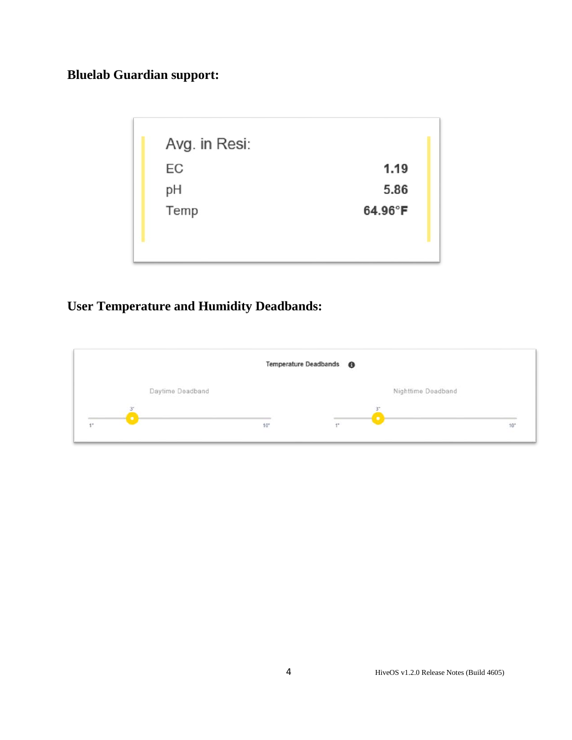## **Bluelab Guardian support:**

| Avg. in Resi: |         |
|---------------|---------|
| EC            | 1.19    |
| pH            | 5.86    |
| Temp          | 64.96°F |
|               |         |
|               |         |

## **User Temperature and Humidity Deadbands:**

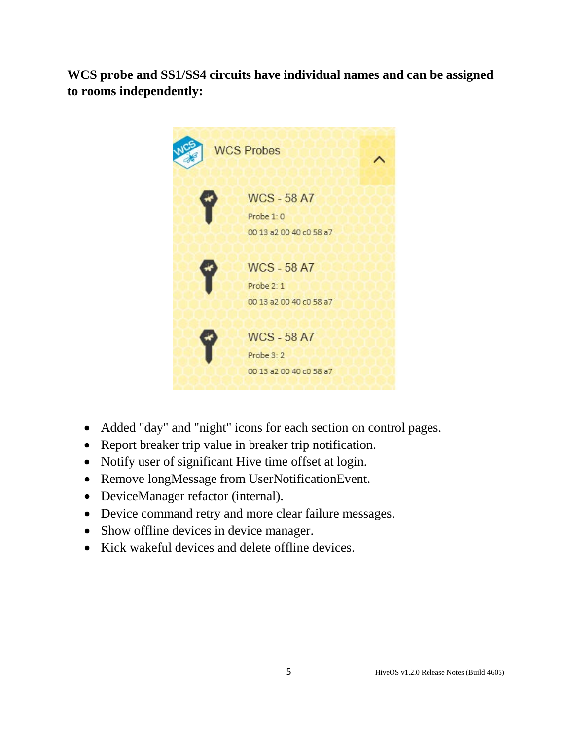**WCS probe and SS1/SS4 circuits have individual names and can be assigned to rooms independently:**



- Added "day" and "night" icons for each section on control pages.
- Report breaker trip value in breaker trip notification.
- Notify user of significant Hive time offset at login.
- Remove longMessage from UserNotificationEvent.
- DeviceManager refactor (internal).
- Device command retry and more clear failure messages.
- Show offline devices in device manager.
- Kick wakeful devices and delete offline devices.